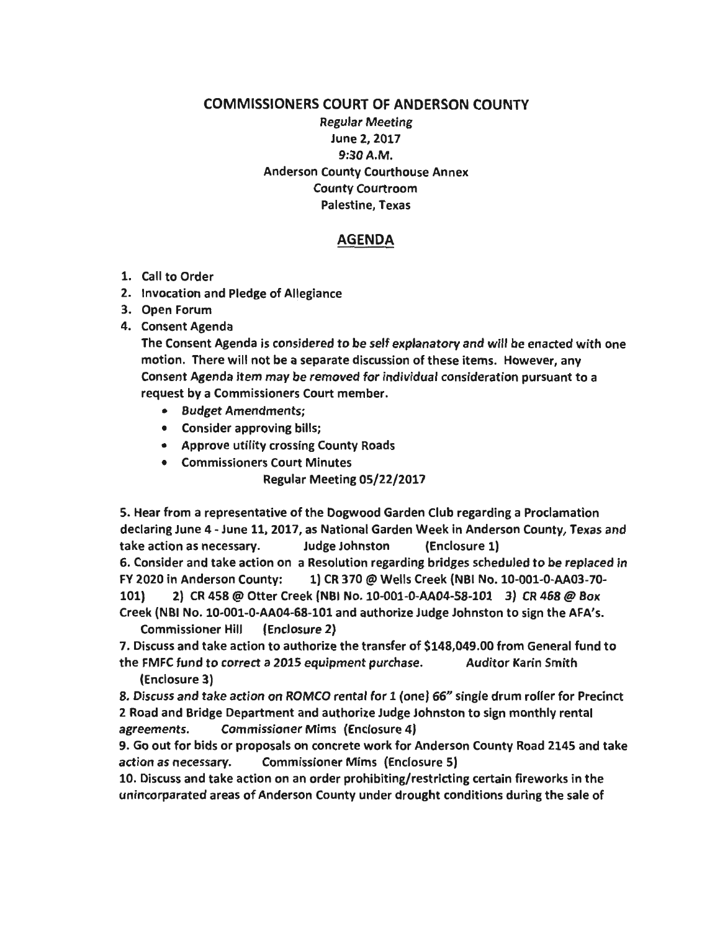## COMMISSIONERS COURT OF ANDERSON COUNTY Regular Meeting June 2, 2017 9:30A.M. Anderson County Courthouse Annex County Courtroom Palestine, Texas

## AGENDA

- 1. Call to Order
- 2. Invocation and Pledge of Allegiance
- 3. Open Forum
- 4. Consent Agenda

The Consent Agenda is considered to be self explanatory and will be enacted with one motion. There will not be a separate discussion of these items. However, any Consent Agenda item may be removed for individual consideration pursuant to a request by a Commissioners Court member.

- Budget Amendments;
- Consider approving bills;
- Approve utility crossing County Roads
- Commissioners Court Minutes Regular Meeting 05/22/2017

5. Hear from a representative of the Dogwood Garden Club regarding a Proclamation declaring June 4 - June 11, 2017, as National Garden Week in Anderson County, Texas and take action as necessary. Judge Johnston (Enclosure 1) 6. Consider and take action on a Resolution regarding bridges scheduled to be replaced in FY 2020 in Anderson County: 1) CR 370@ Wells Creek (NBI No.10-001-0-AA03-70- 101) 2) CR 458@ Otter Creek (NBI No. 10-001-0-AA04-58-101 3) CR 468@ Box Creek (NBI No. 10-001-0-AA04-68-101 and authorize Judge Johnston to sign the AFA's.

Commissioner Hill (Enclosure 2)

7. Discuss and take action to authorize the transfer of \$148,049.00 from General fund to the FMFC fund to correct a 2015 equipment purchase. Auditor Karin Smith (Enclosure 3)

8. Discuss and take action on ROMCO rental for 1 (one) 66" single drum roller for Precinct 2 Road and Bridge Department and authorize Judge Johnston to sign monthly rental agreements. Commissioner Mims (Enclosure 4)

9. Go out for bids or proposals on concrete work for Anderson County Road 2145 and take action as necessary. Commissioner Mims (Enclosure 5)

10. Discuss and take action on an order prohibiting/restricting certain fireworks in the unincorparated areas of Anderson County under drought conditions during the sale of